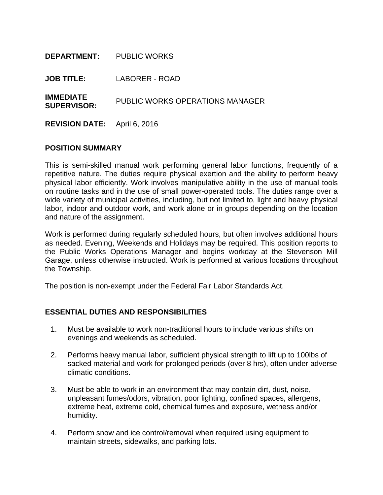| <b>DEPARTMENT:</b> PUBLIC WORKS        |                                 |  |
|----------------------------------------|---------------------------------|--|
| <b>JOB TITLE:</b>                      | LABORER - ROAD                  |  |
| <b>IMMEDIATE</b><br><b>SUPERVISOR:</b> | PUBLIC WORKS OPERATIONS MANAGER |  |
| <b>REVISION DATE:</b> April 6, 2016    |                                 |  |

#### **POSITION SUMMARY**

This is semi-skilled manual work performing general labor functions, frequently of a repetitive nature. The duties require physical exertion and the ability to perform heavy physical labor efficiently. Work involves manipulative ability in the use of manual tools on routine tasks and in the use of small power-operated tools. The duties range over a wide variety of municipal activities, including, but not limited to, light and heavy physical labor, indoor and outdoor work, and work alone or in groups depending on the location and nature of the assignment.

Work is performed during regularly scheduled hours, but often involves additional hours as needed. Evening, Weekends and Holidays may be required. This position reports to the Public Works Operations Manager and begins workday at the Stevenson Mill Garage, unless otherwise instructed. Work is performed at various locations throughout the Township.

The position is non-exempt under the Federal Fair Labor Standards Act.

## **ESSENTIAL DUTIES AND RESPONSIBILITIES**

- 1. Must be available to work non-traditional hours to include various shifts on evenings and weekends as scheduled.
- 2. Performs heavy manual labor, sufficient physical strength to lift up to 100lbs of sacked material and work for prolonged periods (over 8 hrs), often under adverse climatic conditions.
- 3. Must be able to work in an environment that may contain dirt, dust, noise, unpleasant fumes/odors, vibration, poor lighting, confined spaces, allergens, extreme heat, extreme cold, chemical fumes and exposure, wetness and/or humidity.
- 4. Perform snow and ice control/removal when required using equipment to maintain streets, sidewalks, and parking lots.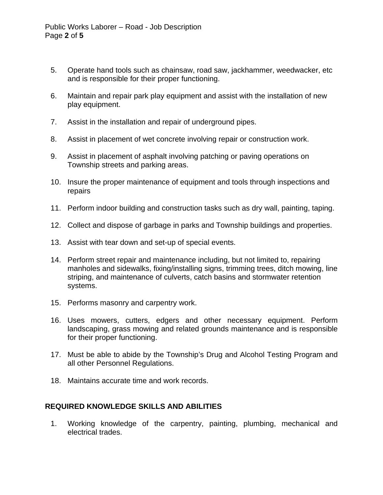- 5. Operate hand tools such as chainsaw, road saw, jackhammer, weedwacker, etc and is responsible for their proper functioning.
- 6. Maintain and repair park play equipment and assist with the installation of new play equipment.
- 7. Assist in the installation and repair of underground pipes.
- 8. Assist in placement of wet concrete involving repair or construction work.
- 9. Assist in placement of asphalt involving patching or paving operations on Township streets and parking areas.
- 10. Insure the proper maintenance of equipment and tools through inspections and repairs
- 11. Perform indoor building and construction tasks such as dry wall, painting, taping.
- 12. Collect and dispose of garbage in parks and Township buildings and properties.
- 13. Assist with tear down and set-up of special events.
- 14. Perform street repair and maintenance including, but not limited to, repairing manholes and sidewalks, fixing/installing signs, trimming trees, ditch mowing, line striping, and maintenance of culverts, catch basins and stormwater retention systems.
- 15. Performs masonry and carpentry work.
- 16. Uses mowers, cutters, edgers and other necessary equipment. Perform landscaping, grass mowing and related grounds maintenance and is responsible for their proper functioning.
- 17. Must be able to abide by the Township's Drug and Alcohol Testing Program and all other Personnel Regulations.
- 18. Maintains accurate time and work records.

## **REQUIRED KNOWLEDGE SKILLS AND ABILITIES**

1. Working knowledge of the carpentry, painting, plumbing, mechanical and electrical trades.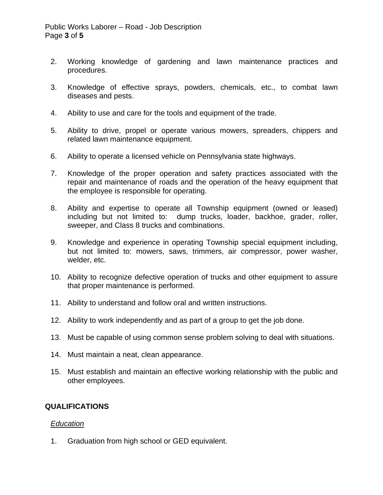- 2. Working knowledge of gardening and lawn maintenance practices and procedures.
- 3. Knowledge of effective sprays, powders, chemicals, etc., to combat lawn diseases and pests.
- 4. Ability to use and care for the tools and equipment of the trade.
- 5. Ability to drive, propel or operate various mowers, spreaders, chippers and related lawn maintenance equipment.
- 6. Ability to operate a licensed vehicle on Pennsylvania state highways.
- 7. Knowledge of the proper operation and safety practices associated with the repair and maintenance of roads and the operation of the heavy equipment that the employee is responsible for operating.
- 8. Ability and expertise to operate all Township equipment (owned or leased) including but not limited to: dump trucks, loader, backhoe, grader, roller, sweeper, and Class 8 trucks and combinations.
- 9. Knowledge and experience in operating Township special equipment including, but not limited to: mowers, saws, trimmers, air compressor, power washer, welder, etc.
- 10. Ability to recognize defective operation of trucks and other equipment to assure that proper maintenance is performed.
- 11. Ability to understand and follow oral and written instructions.
- 12. Ability to work independently and as part of a group to get the job done.
- 13. Must be capable of using common sense problem solving to deal with situations.
- 14. Must maintain a neat, clean appearance.
- 15. Must establish and maintain an effective working relationship with the public and other employees.

## **QUALIFICATIONS**

## *Education*

1. Graduation from high school or GED equivalent.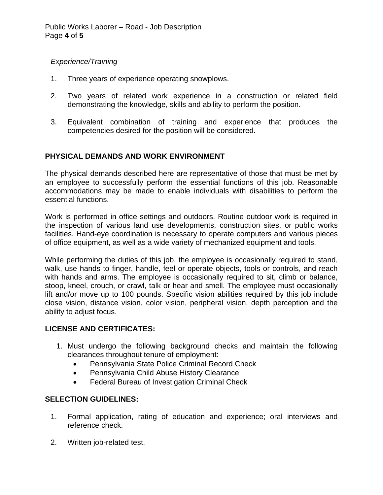## *Experience/Training*

- 1. Three years of experience operating snowplows.
- 2. Two years of related work experience in a construction or related field demonstrating the knowledge, skills and ability to perform the position.
- 3. Equivalent combination of training and experience that produces the competencies desired for the position will be considered.

# **PHYSICAL DEMANDS AND WORK ENVIRONMENT**

The physical demands described here are representative of those that must be met by an employee to successfully perform the essential functions of this job. Reasonable accommodations may be made to enable individuals with disabilities to perform the essential functions.

Work is performed in office settings and outdoors. Routine outdoor work is required in the inspection of various land use developments, construction sites, or public works facilities. Hand-eye coordination is necessary to operate computers and various pieces of office equipment, as well as a wide variety of mechanized equipment and tools.

While performing the duties of this job, the employee is occasionally required to stand, walk, use hands to finger, handle, feel or operate objects, tools or controls, and reach with hands and arms. The employee is occasionally required to sit, climb or balance, stoop, kneel, crouch, or crawl, talk or hear and smell. The employee must occasionally lift and/or move up to 100 pounds. Specific vision abilities required by this job include close vision, distance vision, color vision, peripheral vision, depth perception and the ability to adjust focus.

# **LICENSE AND CERTIFICATES:**

- 1. Must undergo the following background checks and maintain the following clearances throughout tenure of employment:
	- Pennsylvania State Police Criminal Record Check
	- Pennsylvania Child Abuse History Clearance
	- Federal Bureau of Investigation Criminal Check

# **SELECTION GUIDELINES:**

- 1. Formal application, rating of education and experience; oral interviews and reference check.
- 2. Written job-related test.